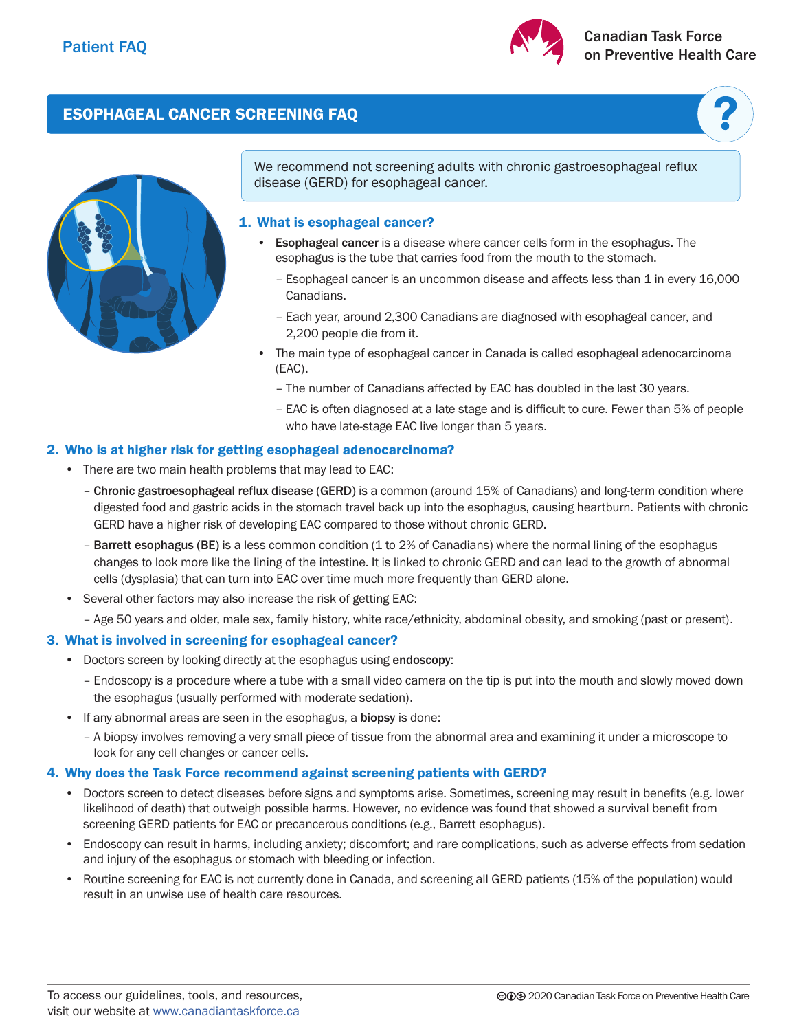

# ESOPHAGEAL CANCER SCREENING FAQ



We recommend not screening adults with chronic gastroesophageal reflux disease (GERD) for esophageal cancer.

## 1. What is esophageal cancer?

- Esophageal cancer is a disease where cancer cells form in the esophagus. The esophagus is the tube that carries food from the mouth to the stomach.
	- Esophageal cancer is an uncommon disease and affects less than 1 in every 16,000 Canadians.
	- Each year, around 2,300 Canadians are diagnosed with esophageal cancer, and 2,200 people die from it.
- The main type of esophageal cancer in Canada is called esophageal adenocarcinoma (EAC).
	- The number of Canadians affected by EAC has doubled in the last 30 years.
	- EAC is often diagnosed at a late stage and is difficult to cure. Fewer than 5% of people who have late-stage EAC live longer than 5 years.

## 2. Who is at higher risk for getting esophageal adenocarcinoma?

- There are two main health problems that may lead to EAC:
	- Chronic gastroesophageal reflux disease (GERD) is a common (around 15% of Canadians) and long-term condition where digested food and gastric acids in the stomach travel back up into the esophagus, causing heartburn. Patients with chronic GERD have a higher risk of developing EAC compared to those without chronic GERD.
	- Barrett esophagus (BE) is a less common condition (1 to 2% of Canadians) where the normal lining of the esophagus changes to look more like the lining of the intestine. It is linked to chronic GERD and can lead to the growth of abnormal cells (dysplasia) that can turn into EAC over time much more frequently than GERD alone.
- Several other factors may also increase the risk of getting EAC:
	- Age 50 years and older, male sex, family history, white race/ethnicity, abdominal obesity, and smoking (past or present).

# 3. What is involved in screening for esophageal cancer?

- Doctors screen by looking directly at the esophagus using endoscopy:
	- Endoscopy is a procedure where a tube with a small video camera on the tip is put into the mouth and slowly moved down the esophagus (usually performed with moderate sedation).
- If any abnormal areas are seen in the esophagus, a **biopsy** is done:
	- A biopsy involves removing a very small piece of tissue from the abnormal area and examining it under a microscope to look for any cell changes or cancer cells.

### 4. Why does the Task Force recommend against screening patients with GERD?

- Doctors screen to detect diseases before signs and symptoms arise. Sometimes, screening may result in benefits (e.g. lower likelihood of death) that outweigh possible harms. However, no evidence was found that showed a survival benefit from screening GERD patients for EAC or precancerous conditions (e.g., Barrett esophagus).
- Endoscopy can result in harms, including anxiety; discomfort; and rare complications, such as adverse effects from sedation and injury of the esophagus or stomach with bleeding or infection.
- Routine screening for EAC is not currently done in Canada, and screening all GERD patients (15% of the population) would result in an unwise use of health care resources.